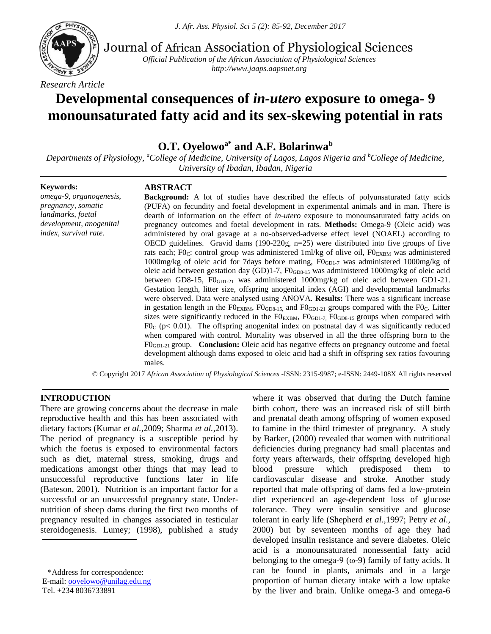*J. Afr. Ass. Physiol. Sci 5 (2): 85-92, December 2017*



Journal of African Association of Physiological Sciences

*Official Publication of the African Association of Physiological Sciences http://www.jaaps.aapsnet.org*

*Research Article*

# **Developmental consequences of** *in-utero* **exposure to omega- 9 monounsaturated fatty acid and its sex-skewing potential in rats**

# **O.T. Oyelowoa\* and A.F. Bolarinwa<sup>b</sup>**

*Departments of Physiology, <sup>a</sup>College of Medicine, University of Lagos, Lagos Nigeria and <sup>b</sup>College of Medicine, University of Ibadan, Ibadan, Nigeria*

#### **Keywords:**

*omega-9, organogenesis, pregnancy, somatic landmarks, foetal development, anogenital index, survival rate.*

### **ABSTRACT**

**Background:** A lot of studies have described the effects of polyunsaturated fatty acids (PUFA) on fecundity and foetal development in experimental animals and in man. There is dearth of information on the effect of *in-utero* exposure to monounsaturated fatty acids on pregnancy outcomes and foetal development in rats. **Methods:** Omega-9 (Oleic acid) was administered by oral gavage at a no-observed-adverse effect level (NOAEL) according to OECD guidelines. Gravid dams  $(190-220g, n=25)$  were distributed into five groups of five rats each; FO<sub>C</sub>: control group was administered 1ml/kg of olive oil,  $F0_{\text{EXBM}}$  was administered 1000mg/kg of oleic acid for 7 days before mating,  $F0<sub>GDL-7</sub>$  was administered 1000mg/kg of oleic acid between gestation day (GD)1-7, F0GD8-15 was administered 1000mg/kg of oleic acid between GD8-15, F0<sub>GD1-21</sub> was administered 1000mg/kg of oleic acid between GD1-21. Gestation length, litter size, offspring anogenital index (AGI) and developmental landmarks were observed. Data were analysed using ANOVA. **Results:** There was a significant increase in gestation length in the  $FO_{\text{EXBM}}$ ,  $FO_{\text{GDS-15}}$ , and  $FO_{\text{GDL-21}}$  groups compared with the FO<sub>C</sub>. Litter sizes were significantly reduced in the  $F0_{\text{EXBM}}$ ,  $F0_{\text{GD1-7}}$ ,  $F0_{\text{GD8-15}}$  groups when compared with F0 $<$  (p $<$  0.01). The offspring anogenital index on postnatal day 4 was significantly reduced when compared with control. Mortality was observed in all the three offspring born to the F0GD1-21 group. **Conclusion:** Oleic acid has negative effects on pregnancy outcome and foetal development although dams exposed to oleic acid had a shift in offspring sex ratios favouring males.

© Copyright 2017 *African Association of Physiological Sciences* -ISSN: 2315-9987; e-ISSN: 2449-108X All rights reserved

### **INTRODUCTION**

There are growing concerns about the decrease in male reproductive health and this has been associated with dietary factors (Kumar *et al.,*2009; Sharma *et al.,*2013). The period of pregnancy is a susceptible period by which the foetus is exposed to environmental factors such as diet, maternal stress, smoking, drugs and medications amongst other things that may lead to unsuccessful reproductive functions later in life (Bateson, 2001). Nutrition is an important factor for a successful or an unsuccessful pregnancy state. Undernutrition of sheep dams during the first two months of pregnancy resulted in changes associated in testicular steroidogenesis. Lumey; (1998), published a study

\*Address for correspondence: E-mail: [ooyelowo@unilag.edu.ng](mailto:ooyelowo@unilag.edu.ng) Tel. +234 8036733891

where it was observed that during the Dutch famine birth cohort, there was an increased risk of still birth and prenatal death among offspring of women exposed to famine in the third trimester of pregnancy. A study by Barker, (2000) revealed that women with nutritional deficiencies during pregnancy had small placentas and forty years afterwards, their offspring developed high blood pressure which predisposed them to cardiovascular disease and stroke. Another study reported that male offspring of dams fed a low-protein diet experienced an age-dependent loss of glucose tolerance. They were insulin sensitive and glucose tolerant in early life (Shepherd *et al.,*1997; Petry *et al.,* 2000) but by seventeen months of age they had developed insulin resistance and severe diabetes. Oleic acid is a monounsaturated nonessential fatty acid belonging to the omega-9 ( $\omega$ -9) family of fatty acids. It can be found in plants, animals and in a large proportion of human dietary intake with a low uptake by the liver and brain. Unlike omega-3 and omega-6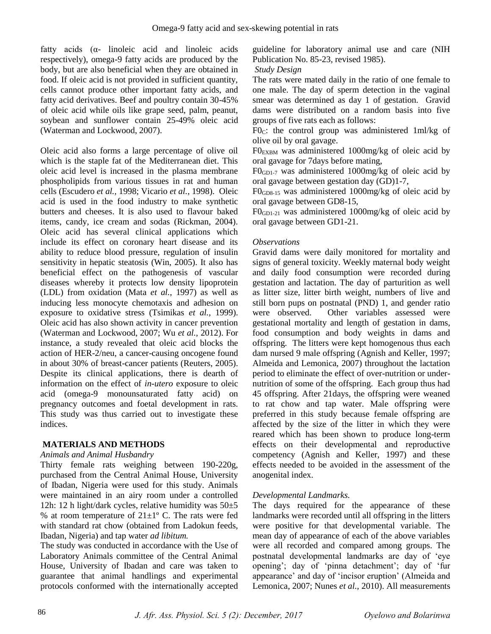fatty acids  $(\alpha$ - linoleic acid and linoleic acids respectively), omega-9 fatty acids are produced by the body, but are also beneficial when they are obtained in food. If oleic acid is not provided in sufficient quantity, cells cannot produce other important fatty acids, and fatty acid derivatives. Beef and poultry contain 30-45% of oleic acid while oils like grape seed, palm, peanut, soybean and sunflower contain 25-49% oleic acid (Waterman and Lockwood, 2007).

Oleic acid also forms a large percentage of olive oil which is the staple fat of the Mediterranean diet. This oleic acid level is increased in the plasma membrane phospholipids from various tissues in rat and human cells (Escudero *et al.,* 1998; Vicario *et al.,* 1998). Oleic acid is used in the food industry to make synthetic butters and cheeses. It is also used to flavour baked items, candy, ice cream and sodas (Rickman, 2004). Oleic acid has several clinical applications which include its effect on coronary heart disease and its ability to reduce blood pressure, regulation of insulin sensitivity in hepatic steatosis (Win, 2005). It also has beneficial effect on the pathogenesis of vascular diseases whereby it protects low density lipoprotein (LDL) from oxidation (Mata *et al.,* 1997) as well as inducing less monocyte chemotaxis and adhesion on exposure to oxidative stress (Tsimikas *et al.,* 1999). Oleic acid has also shown activity in cancer prevention (Waterman and Lockwood, 2007; Wu *et al.,* 2012). For instance, a study revealed that oleic acid blocks the action of HER-2/neu, a cancer-causing oncogene found in about 30% of breast-cancer patients (Reuters, 2005). Despite its clinical applications, there is dearth of information on the effect of *in-utero* exposure to oleic acid (omega-9 monounsaturated fatty acid) on pregnancy outcomes and foetal development in rats. This study was thus carried out to investigate these indices.

# **MATERIALS AND METHODS**

### *Animals and Animal Husbandry*

Thirty female rats weighing between 190-220g, purchased from the Central Animal House, University of Ibadan, Nigeria were used for this study. Animals were maintained in an airy room under a controlled 12h: 12 h light/dark cycles, relative humidity was  $50±5$ % at room temperature of  $21 \pm 1^{\circ}$  C. The rats were fed with standard rat chow (obtained from Ladokun feeds, Ibadan, Nigeria) and tap water *ad libitum.*

The study was conducted in accordance with the Use of Laboratory Animals committee of the Central Animal House, University of Ibadan and care was taken to guarantee that animal handlings and experimental protocols conformed with the internationally accepted

guideline for laboratory animal use and care (NIH Publication No. 85-23, revised 1985).

### *Study Design*

The rats were mated daily in the ratio of one female to one male. The day of sperm detection in the vaginal smear was determined as day 1 of gestation. Gravid dams were distributed on a random basis into five groups of five rats each as follows:

F0<sub>c</sub>: the control group was administered 1ml/kg of olive oil by oral gavage.

F0EXBM was administered 1000mg/kg of oleic acid by oral gavage for 7days before mating,

 $F0_{GD1-7}$  was administered 1000mg/kg of oleic acid by oral gavage between gestation day (GD)1-7,

F0GD8-15 was administered 1000mg/kg of oleic acid by oral gavage between GD8-15,

 $F0_{GD1-21}$  was administered 1000mg/kg of oleic acid by oral gavage between GD1-21.

# *Observations*

Gravid dams were daily monitored for mortality and signs of general toxicity. Weekly maternal body weight and daily food consumption were recorded during gestation and lactation. The day of parturition as well as litter size, litter birth weight, numbers of live and still born pups on postnatal (PND) 1, and gender ratio were observed. Other variables assessed were gestational mortality and length of gestation in dams, food consumption and body weights in dams and offspring. The litters were kept homogenous thus each dam nursed 9 male offspring (Agnish and Keller, 1997; Almeida and Lemonica, 2007) throughout the lactation period to eliminate the effect of over-nutrition or undernutrition of some of the offspring. Each group thus had 45 offspring. After 21days, the offspring were weaned to rat chow and tap water. Male offspring were preferred in this study because female offspring are affected by the size of the litter in which they were reared which has been shown to produce long-term effects on their developmental and reproductive competency (Agnish and Keller, 1997) and these effects needed to be avoided in the assessment of the anogenital index.

# *Developmental Landmarks.*

The days required for the appearance of these landmarks were recorded until all offspring in the litters were positive for that developmental variable. The mean day of appearance of each of the above variables were all recorded and compared among groups. The postnatal developmental landmarks are day of 'eye opening'; day of 'pinna detachment'; day of 'fur appearance' and day of 'incisor eruption' (Almeida and Lemonica, 2007; Nunes *et al.,* 2010). All measurements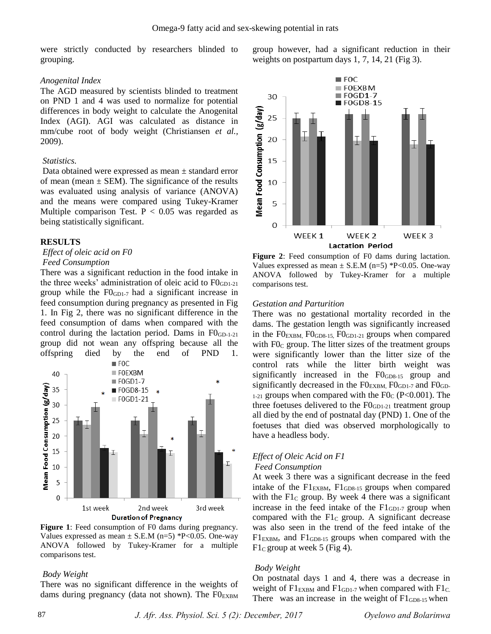were strictly conducted by researchers blinded to grouping.

### *Anogenital Index*

The AGD measured by scientists blinded to treatment on PND 1 and 4 was used to normalize for potential differences in body weight to calculate the Anogenital Index (AGI). AGI was calculated as distance in mm/cube root of body weight (Christiansen *et al.,* 2009).

### *Statistics.*

Data obtained were expressed as mean ± standard error of mean (mean  $\pm$  SEM). The significance of the results was evaluated using analysis of variance (ANOVA) and the means were compared using Tukey-Kramer Multiple comparison Test.  $P < 0.05$  was regarded as being statistically significant.

### **RESULTS**

# *Effect of oleic acid on F0*

### *Feed Consumption*

There was a significant reduction in the food intake in the three weeks' administration of oleic acid to  $F0_{GD1-21}$ group while the  $F0_{GD1-7}$  had a significant increase in feed consumption during pregnancy as presented in Fig 1. In Fig 2, there was no significant difference in the feed consumption of dams when compared with the control during the lactation period. Dams in  $F0_{GD-1-21}$ group did not wean any offspring because all the offspring died by the end of PND 1.



**Figure 1**: Feed consumption of F0 dams during pregnancy. Values expressed as mean  $\pm$  S.E.M (n=5) \*P<0.05. One-way ANOVA followed by Tukey-Kramer for a multiple comparisons test.

### *Body Weight*

There was no significant difference in the weights of dams during pregnancy (data not shown). The  $FO_{EXBM}$  group however, had a significant reduction in their weights on postpartum days 1, 7, 14, 21 (Fig 3).



**Figure 2**: Feed consumption of F0 dams during lactation. Values expressed as mean  $\pm$  S.E.M (n=5) \*P<0.05. One-way ANOVA followed by Tukey-Kramer for a multiple comparisons test.

### *Gestation and Parturition*

There was no gestational mortality recorded in the dams. The gestation length was significantly increased in the F0EXBM, F0GD8-15, F0GD1-21 groups when compared with  $F0<sub>C</sub>$  group. The litter sizes of the treatment groups were significantly lower than the litter size of the control rats while the litter birth weight was significantly increased in the FO<sub>GD8-15</sub> group and significantly decreased in the  $F0_{\text{EXBM}}$ ,  $F0_{\text{GD-7}}$  and  $F0_{\text{GD-7}}$  $_{1-21}$  groups when compared with the F0<sub>C</sub> (P<0.001). The three foetuses delivered to the  $F0_{GD1-21}$  treatment group all died by the end of postnatal day (PND) 1. One of the foetuses that died was observed morphologically to have a headless body.

# *Effect of Oleic Acid on F1*

### *Feed Consumption*

At week 3 there was a significant decrease in the feed intake of the  $F1_{EXBM}$ ,  $F1_{GDS-15}$  groups when compared with the  $F1<sub>C</sub>$  group. By week 4 there was a significant increase in the feed intake of the  $F1_{GD1-7}$  group when compared with the  $Fl<sub>C</sub>$  group. A significant decrease was also seen in the trend of the feed intake of the  $F1<sub>EXBM</sub>$ , and  $F1<sub>GDS-15</sub>$  groups when compared with the  $F1<sub>C</sub>$  group at week 5 (Fig 4).

### *Body Weight*

On postnatal days 1 and 4, there was a decrease in weight of  $FI_{EXBM}$  and  $FI_{GD1-7}$  when compared with  $FI_{C}$ . There was an increase in the weight of  $F1<sub>GD8-15</sub>$  when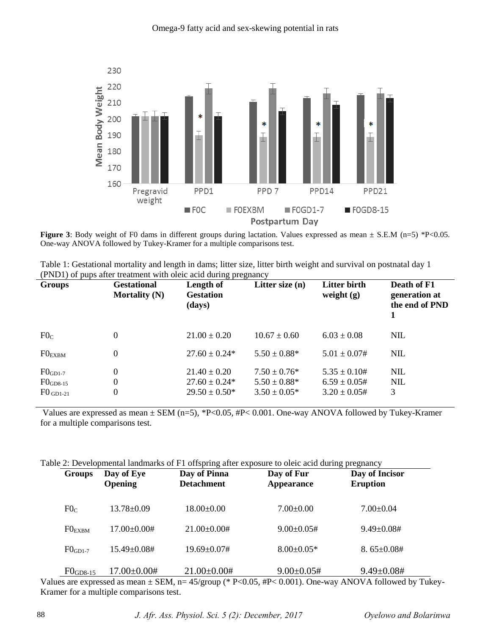

**Figure 3**: Body weight of F0 dams in different groups during lactation. Values expressed as mean  $\pm$  S.E.M (n=5) \*P<0.05. One-way ANOVA followed by Tukey-Kramer for a multiple comparisons test.

| Table 1: Gestational mortality and length in dams; litter size, litter birth weight and survival on postnatal day 1 |  |
|---------------------------------------------------------------------------------------------------------------------|--|
| (PND1) of pups after treatment with oleic acid during pregnancy                                                     |  |

| <b>Groups</b>                                         | <b>Gestational</b><br><b>Mortality (N)</b> | Length of<br><b>Gestation</b><br>(days)                     | Litter size (n)                                          | <b>Litter birth</b><br>weight $(g)$                        | Death of F1<br>generation at<br>the end of PND |
|-------------------------------------------------------|--------------------------------------------|-------------------------------------------------------------|----------------------------------------------------------|------------------------------------------------------------|------------------------------------------------|
| F0 <sub>C</sub>                                       | $\Omega$                                   | $21.00 \pm 0.20$                                            | $10.67 \pm 0.60$                                         | $6.03 \pm 0.08$                                            | <b>NIL</b>                                     |
| $FO_{EXBM}$                                           | $\Omega$                                   | $27.60 \pm 0.24*$                                           | $5.50 \pm 0.88^*$                                        | $5.01 \pm 0.07$ #                                          | <b>NIL</b>                                     |
| $F0_{GD1-7}$<br>$F0_{GD8-15}$<br>$F0_{\text{GD1-21}}$ | $\Omega$<br>$\Omega$<br>$\Omega$           | $21.40 \pm 0.20$<br>$27.60 \pm 0.24*$<br>$29.50 \pm 0.50^*$ | $7.50 \pm 0.76*$<br>$5.50 \pm 0.88*$<br>$3.50 \pm 0.05*$ | $5.35 \pm 0.10#$<br>$6.59 \pm 0.05$ #<br>$3.20 \pm 0.05$ # | <b>NIL</b><br><b>NIL</b><br>3                  |

Values are expressed as mean ± SEM (n=5), \*P<0.05, #P< 0.001. One-way ANOVA followed by Tukey-Kramer for a multiple comparisons test.

|  |  |  | Table 2: Developmental landmarks of F1 offspring after exposure to oleic acid during pregnancy |
|--|--|--|------------------------------------------------------------------------------------------------|
|  |  |  |                                                                                                |

| <b>Groups</b>   | Day of Eye<br><b>Opening</b> | Day of Pinna<br><b>Detachment</b> | Day of Fur<br><b>Appearance</b> | Day of Incisor<br><b>Eruption</b> |  |
|-----------------|------------------------------|-----------------------------------|---------------------------------|-----------------------------------|--|
| F0 <sub>C</sub> | $13.78 \pm 0.09$             | $18.00 \pm 0.00$                  | $7.00 \pm 0.00$                 | $7.00 \pm 0.04$                   |  |
| $FO_{EXBM}$     | $17.00 \pm 0.00 \#$          | $21.00\pm0.00#$                   | $9.00 \pm 0.05 \#$              | $9.49 \pm 0.08 \#$                |  |
| $FOGD1-7$       | $15.49 \pm 0.08 \#$          | $19.69 \pm 0.07 \#$               | $8.00 \pm 0.05*$                | $8.65 \pm 0.08 \#$                |  |
| $F0$ GD8-15     | $17.00\pm0.00#$              | $21.00\pm0.00#$                   | $9.00 \pm 0.05$ #               | $9.49 \pm 0.08 \#$                |  |

Values are expressed as mean ± SEM, n= 45/group (\* P<0.05, #P< 0.001). One-way ANOVA followed by Tukey-Kramer for a multiple comparisons test.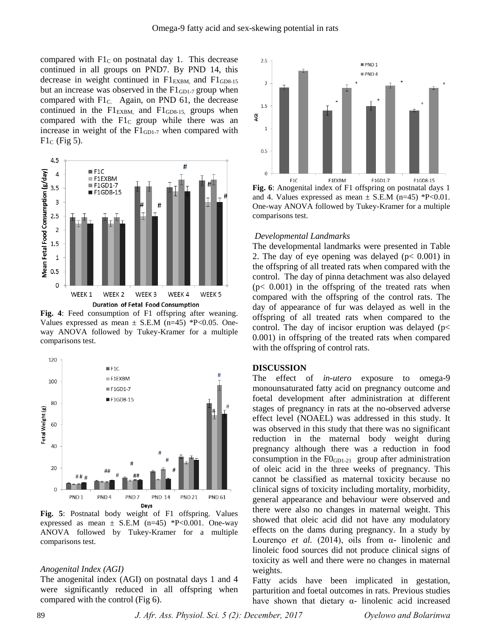compared with  $FI<sub>C</sub>$  on postnatal day 1. This decrease continued in all groups on PND7. By PND 14, this decrease in weight continued in  $FI<sub>EXBM</sub>$  and  $FI<sub>GDS-15</sub>$ but an increase was observed in the  $FI<sub>GD1-7</sub>$  group when compared with  $FI<sub>C</sub>$ . Again, on PND 61, the decrease continued in the  $FI_{ESBM}$  and  $FI_{GDS-15}$  groups when compared with the  $Flc$  group while there was an increase in weight of the  $FI<sub>GD1-7</sub>$  when compared with  $F1_C$  (Fig 5).



**Fig. 4**: Feed consumption of F1 offspring after weaning. Values expressed as mean  $\pm$  S.E.M (n=45) \*P<0.05. Oneway ANOVA followed by Tukey-Kramer for a multiple comparisons test.



**Fig. 5**: Postnatal body weight of F1 offspring. Values expressed as mean  $\pm$  S.E.M (n=45) \*P<0.001. One-way ANOVA followed by Tukey-Kramer for a multiple comparisons test.

#### *Anogenital Index (AGI)*

The anogenital index (AGI) on postnatal days 1 and 4 were significantly reduced in all offspring when compared with the control (Fig 6).



**Fig. 6**: Anogenital index of F1 offspring on postnatal days 1 and 4. Values expressed as mean  $\pm$  S.E.M (n=45) \*P<0.01. One-way ANOVA followed by Tukey-Kramer for a multiple comparisons test.

### *Developmental Landmarks*

The developmental landmarks were presented in Table 2. The day of eye opening was delayed ( $p < 0.001$ ) in the offspring of all treated rats when compared with the control. The day of pinna detachment was also delayed  $(p< 0.001)$  in the offspring of the treated rats when compared with the offspring of the control rats. The day of appearance of fur was delayed as well in the offspring of all treated rats when compared to the control. The day of incisor eruption was delayed ( $p$ < 0.001) in offspring of the treated rats when compared with the offspring of control rats.

### **DISCUSSION**

The effect of *in-utero* exposure to omega-9 monounsaturated fatty acid on pregnancy outcome and foetal development after administration at different stages of pregnancy in rats at the no-observed adverse effect level (NOAEL) was addressed in this study. It was observed in this study that there was no significant reduction in the maternal body weight during pregnancy although there was a reduction in food consumption in the F0<sub>GD1-21</sub> group after administration of oleic acid in the three weeks of pregnancy. This cannot be classified as maternal toxicity because no clinical signs of toxicity including mortality, morbidity, general appearance and behaviour were observed and there were also no changes in maternal weight. This showed that oleic acid did not have any modulatory effects on the dams during pregnancy. In a study by Lourenço *et al.* (2014), oils from  $\alpha$ - linolenic and linoleic food sources did not produce clinical signs of toxicity as well and there were no changes in maternal weights.

Fatty acids have been implicated in gestation, parturition and foetal outcomes in rats. Previous studies have shown that dietary  $\alpha$ - linolenic acid increased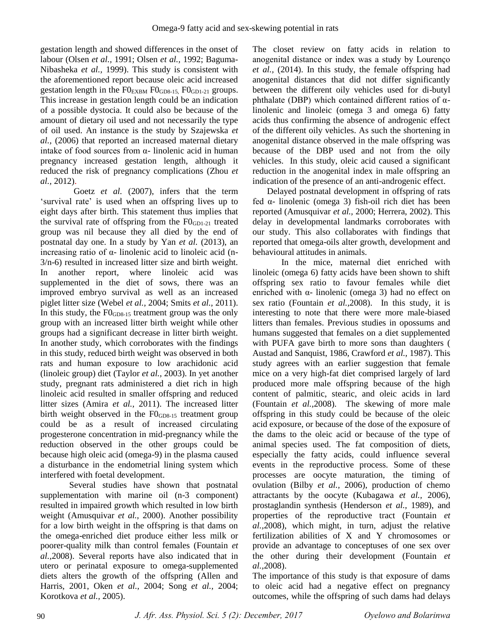gestation length and showed differences in the onset of labour (Olsen *et al.,* 1991; Olsen *et al.,* 1992; Baguma-Nibasheka *et al.,* 1999). This study is consistent with the aforementioned report because oleic acid increased gestation length in the  $F0_{EXBM} F0_{GDB-15} F0_{GDL-21}$  groups. This increase in gestation length could be an indication of a possible dystocia. It could also be because of the amount of dietary oil used and not necessarily the type of oil used. An instance is the study by Szajewska *et al.,* (2006) that reported an increased maternal dietary intake of food sources from α- linolenic acid in human pregnancy increased gestation length, although it reduced the risk of pregnancy complications (Zhou *et al.,* 2012).

Goetz *et al.* (2007), infers that the term 'survival rate' is used when an offspring lives up to eight days after birth. This statement thus implies that the survival rate of offspring from the  $F0_{GD1-21}$  treated group was nil because they all died by the end of postnatal day one. In a study by Yan *et al.* (2013), an increasing ratio of α- linolenic acid to linoleic acid (n-3/n-6) resulted in increased litter size and birth weight. In another report, where linoleic acid was supplemented in the diet of sows, there was an improved embryo survival as well as an increased piglet litter size (Webel *et al.,* 2004; Smits *et al.,* 2011). In this study, the  $F0<sub>GDB-15</sub>$  treatment group was the only group with an increased litter birth weight while other groups had a significant decrease in litter birth weight. In another study, which corroborates with the findings in this study, reduced birth weight was observed in both rats and human exposure to low arachidonic acid (linoleic group) diet (Taylor *et al.,* 2003). In yet another study, pregnant rats administered a diet rich in high linoleic acid resulted in smaller offspring and reduced litter sizes (Amira *et al.,* 2011). The increased litter birth weight observed in the  $F0<sub>GD8-15</sub>$  treatment group could be as a result of increased circulating progesterone concentration in mid-pregnancy while the reduction observed in the other groups could be because high oleic acid (omega-9) in the plasma caused a disturbance in the endometrial lining system which interfered with foetal development.

Several studies have shown that postnatal supplementation with marine oil (n-3 component) resulted in impaired growth which resulted in low birth weight (Amusquivar *et al.,* 2000). Another possibility for a low birth weight in the offspring is that dams on the omega-enriched diet produce either less milk or poorer-quality milk than control females (Fountain *et al.,*2008). Several reports have also indicated that in utero or perinatal exposure to omega-supplemented diets alters the growth of the offspring (Allen and Harris, 2001, Oken *et al.,* 2004; Song *et al.,* 2004; Korotkova *et al.,* 2005).

The closet review on fatty acids in relation to anogenital distance or index was a study by Lourenço *et al.,* (2014). In this study, the female offspring had anogenital distances that did not differ significantly between the different oily vehicles used for di-butyl phthalate (DBP) which contained different ratios of αlinolenic and linoleic (omega 3 and omega 6) fatty acids thus confirming the absence of androgenic effect of the different oily vehicles. As such the shortening in anogenital distance observed in the male offspring was because of the DBP used and not from the oily vehicles. In this study, oleic acid caused a significant reduction in the anogenital index in male offspring an indication of the presence of an anti-androgenic effect.

Delayed postnatal development in offspring of rats fed α- linolenic (omega 3) fish-oil rich diet has been reported (Amusquivar *et al.,* 2000; Herrera, 2002). This delay in developmental landmarks corroborates with our study. This also collaborates with findings that reported that omega-oils alter growth, development and behavioural attitudes in animals.

In the mice, maternal diet enriched with linoleic (omega 6) fatty acids have been shown to shift offspring sex ratio to favour females while diet enriched with α- linolenic (omega 3) had no effect on sex ratio (Fountain *et al.,*2008). In this study, it is interesting to note that there were more male-biased litters than females. Previous studies in opossums and humans suggested that females on a diet supplemented with PUFA gave birth to more sons than daughters ( Austad and Sanquist, 1986, Crawford *et al.,* 1987). This study agrees with an earlier suggestion that female mice on a very high-fat diet comprised largely of lard produced more male offspring because of the high content of palmitic, stearic, and oleic acids in lard (Fountain *et al.,*2008). The skewing of more male offspring in this study could be because of the oleic acid exposure, or because of the dose of the exposure of the dams to the oleic acid or because of the type of animal species used. The fat composition of diets, especially the fatty acids, could influence several events in the reproductive process. Some of these processes are oocyte maturation, the timing of ovulation (Bilby *et al.,* 2006), production of chemo attractants by the oocyte (Kubagawa *et al.,* 2006), prostaglandin synthesis (Henderson *et al.,* 1989), and properties of the reproductive tract (Fountain *et al.,*2008), which might, in turn, adjust the relative fertilization abilities of X and Y chromosomes or provide an advantage to conceptuses of one sex over the other during their development (Fountain *et al.,*2008).

The importance of this study is that exposure of dams to oleic acid had a negative effect on pregnancy outcomes, while the offspring of such dams had delays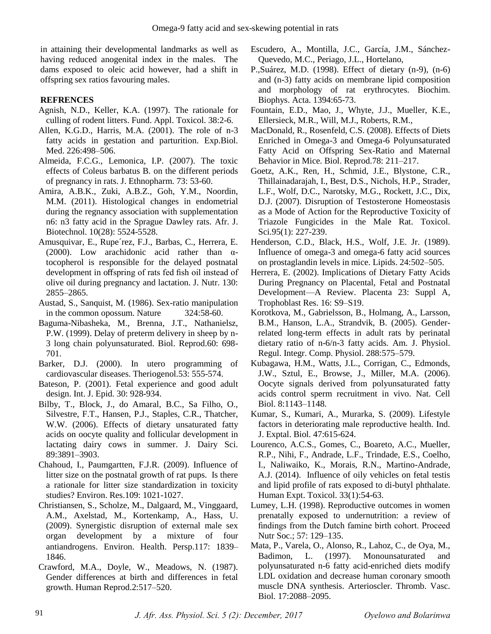in attaining their developmental landmarks as well as having reduced anogenital index in the males. The dams exposed to oleic acid however, had a shift in offspring sex ratios favouring males.

# **REFRENCES**

- Agnish, N.D., Keller, K.A. (1997). The rationale for culling of rodent litters. Fund. Appl. Toxicol. 38:2-6.
- Allen, K.G.D., Harris, M.A. (2001). The role of n-3 fatty acids in gestation and parturition. Exp.Biol. Med. 226:498–506.
- Almeida, F.C.G., Lemonica, I.P. (2007). The toxic effects of Coleus barbatus B. on the different periods of pregnancy in rats. J. Ethnopharm. 73: 53-60.
- Amira, A.B.K., Zuki, A.B.Z., Goh, Y.M., Noordin, M.M. (2011). Histological changes in endometrial during the regnancy association with supplementation n6: n3 fatty acid in the Sprague Dawley rats. Afr. J. Biotechnol. 10(28): 5524-5528.
- Amusquivar, E., Rupe´rez, F.J., Barbas, C., Herrera, E. (2000). Low arachidonic acid rather than  $\alpha$ tocopherol is responsible for the delayed postnatal development in offspring of rats fed fish oil instead of olive oil during pregnancy and lactation. J. Nutr. 130: 2855–2865.
- Austad, S., Sanquist, M. (1986). Sex-ratio manipulation in the common opossum. Nature 324:58-60.
- Baguma-Nibasheka, M., Brenna, J.T., Nathanielsz, P.W. (1999). Delay of preterm delivery in sheep by n-3 long chain polyunsaturated. Biol. Reprod.60: 698- 701.
- Barker, D.J. (2000). In utero programming of cardiovascular diseases. Theriogenol.53: 555-574.
- Bateson, P. (2001). Fetal experience and good adult design. Int. J. Epid. 30: 928-934.
- Bilby, T., Block, J., do Amaral, B.C., Sa Filho, O., Silvestre, F.T., Hansen, P.J., Staples, C.R., Thatcher, W.W. (2006). Effects of dietary unsaturated fatty acids on oocyte quality and follicular development in lactating dairy cows in summer. J. Dairy Sci. 89:3891–3903.
- Chahoud, I., Paumgartten, F.J.R. (2009). Influence of litter size on the postnatal growth of rat pups. Is there a rationale for litter size standardization in toxicity studies? Environ. Res.109: 1021-1027.
- Christiansen, S., Scholze, M., Dalgaard, M., Vinggaard, A.M., Axelstad, M., Kortenkamp, A., Hass, U. (2009). Synergistic disruption of external male sex organ development by a mixture of four antiandrogens. Environ. Health. Persp.117: 1839– 1846.
- Crawford, M.A., Doyle, W., Meadows, N. (1987). Gender differences at birth and differences in fetal growth. Human Reprod.2:517–520.
- Escudero, A., Montilla, J.C., García, J.M., Sánchez-Quevedo, M.C., Periago, J.L., Hortelano,
- P.,Suárez, M.D. (1998). Effect of dietary (n-9), (n-6) and (n-3) fatty acids on membrane lipid composition and morphology of rat erythrocytes. Biochim. Biophys. Acta. 1394:65-73.
- Fountain, E.D., Mao, J., Whyte, J.J., Mueller, K.E., Ellersieck, M.R., Will, M.J., Roberts, R.M.,
- MacDonald, R., Rosenfeld, C.S. (2008). Effects of Diets Enriched in Omega-3 and Omega-6 Polyunsaturated Fatty Acid on Offspring Sex-Ratio and Maternal Behavior in Mice. Biol. Reprod.78: 211–217.
- Goetz, A.K., Ren, H., Schmid, J.E., Blystone, C.R., Thillainadarajah, I., Best, D.S., Nichols, H.P., Strader, L.F., Wolf, D.C., Narotsky, M.G., Rockett, J.C., Dix, D.J. (2007). Disruption of Testosterone Homeostasis as a Mode of Action for the Reproductive Toxicity of Triazole Fungicides in the Male Rat. Toxicol. Sci.95(1): 227-239.
- Henderson, C.D., Black, H.S., Wolf, J.E. Jr. (1989). Influence of omega-3 and omega-6 fatty acid sources on prostaglandin levels in mice. Lipids. 24:502–505.
- Herrera, E. (2002). Implications of Dietary Fatty Acids During Pregnancy on Placental, Fetal and Postnatal Development—A Review. Placenta 23: Suppl A, Trophoblast Res. 16: S9–S19.
- Korotkova, M., Gabrielsson, B., Holmang, A., Larsson, B.M., Hanson, L.A., Strandvik, B. (2005). Genderrelated long-term effects in adult rats by perinatal dietary ratio of n-6/n-3 fatty acids. Am. J. Physiol. Regul. Integr. Comp. Physiol. 288:575–579.
- Kubagawa, H.M., Watts, J.L., Corrigan, C., Edmonds, J.W., Sztul, E., Browse, J., Miller, M.A. (2006). Oocyte signals derived from polyunsaturated fatty acids control sperm recruitment in vivo. Nat. Cell Biol. 8:1143–1148.
- Kumar, S., Kumari, A., Murarka, S. (2009). Lifestyle factors in deteriorating male reproductive health. Ind. J. Exptal. Biol. 47:615-624.
- Lourenco, A.C.S., Gomes, C., Boareto, A.C., Mueller, R.P., Nihi, F., Andrade, L.F., Trindade, E.S., Coelho, I., Naliwaiko, K., Morais, R.N., Martino-Andrade, A.J. (2014). Influence of oily vehicles on fetal testis and lipid profile of rats exposed to di-butyl phthalate. Human Expt. Toxicol. 33(1):54-63.
- Lumey, L.H. (1998). Reproductive outcomes in women prenatally exposed to undernutrition: a review of findings from the Dutch famine birth cohort. Proceed Nutr Soc.; 57: 129–135.
- Mata, P., Varela, O., Alonso, R., Lahoz, C., de Oya, M., Badimon, L. (1997). Monounsaturated and polyunsaturated n-6 fatty acid-enriched diets modify LDL oxidation and decrease human coronary smooth muscle DNA synthesis. Arterioscler. Thromb. Vasc. Biol. 17:2088–2095.